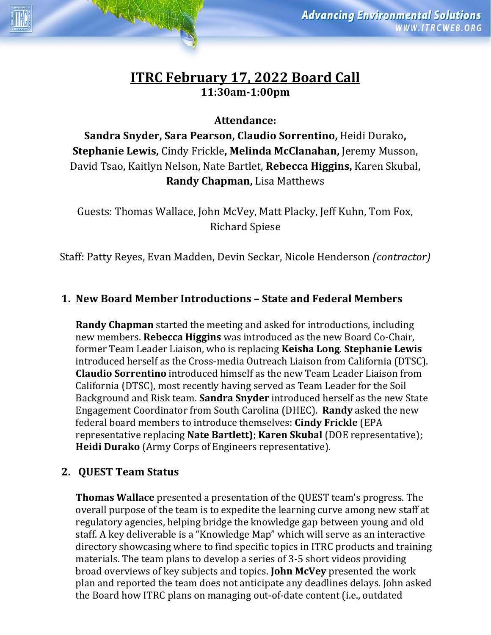# **ITRC February 17, 2022 Board Call 11:30am-1:00pm**

**Attendance:** 

**Sandra Snyder, Sara Pearson, Claudio Sorrentino,** Heidi Durako**, Stephanie Lewis,** Cindy Frickle**, Melinda McClanahan,** Jeremy Musson, David Tsao, Kaitlyn Nelson, Nate Bartlet, **Rebecca Higgins,** Karen Skubal, **Randy Chapman,** Lisa Matthews

Guests: Thomas Wallace, John McVey, Matt Placky, Jeff Kuhn, Tom Fox, Richard Spiese

Staff: Patty Reyes, Evan Madden, Devin Seckar, Nicole Henderson *(contractor)*

## **1. New Board Member Introductions – State and Federal Members**

**Randy Chapman** started the meeting and asked for introductions, including new members. **Rebecca Higgins** was introduced as the new Board Co-Chair, former Team Leader Liaison, who is replacing **Keisha Long**. **Stephanie Lewis** introduced herself as the Cross-media Outreach Liaison from California (DTSC). **Claudio Sorrentino** introduced himself as the new Team Leader Liaison from California (DTSC), most recently having served as Team Leader for the Soil Background and Risk team. **Sandra Snyder** introduced herself as the new State Engagement Coordinator from South Carolina (DHEC). **Randy** asked the new federal board members to introduce themselves: **Cindy Frickle** (EPA representative replacing **Nate Bartlett)**; **Karen Skubal** (DOE representative); **Heidi Durako** (Army Corps of Engineers representative).

#### **2. QUEST Team Status**

HANNA

**Thomas Wallace** presented a presentation of the QUEST team's progress. The overall purpose of the team is to expedite the learning curve among new staff at regulatory agencies, helping bridge the knowledge gap between young and old staff. A key deliverable is a "Knowledge Map" which will serve as an interactive directory showcasing where to find specific topics in ITRC products and training materials. The team plans to develop a series of 3-5 short videos providing broad overviews of key subjects and topics. **John McVey** presented the work plan and reported the team does not anticipate any deadlines delays. John asked the Board how ITRC plans on managing out-of-date content (i.e., outdated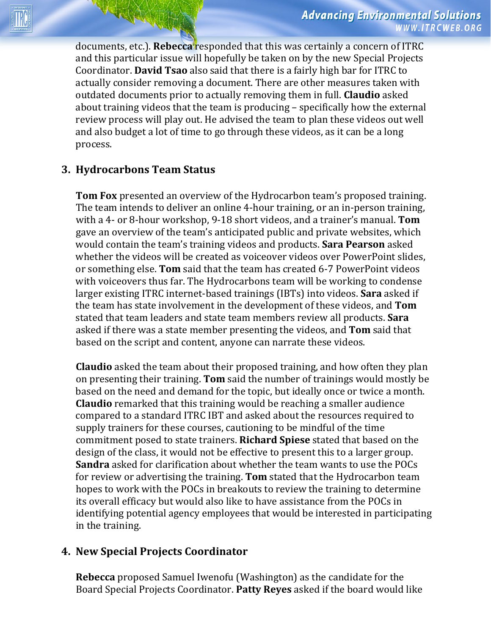documents, etc.). **Rebecca** responded that this was certainly a concern of ITRC and this particular issue will hopefully be taken on by the new Special Projects Coordinator. **David Tsao** also said that there is a fairly high bar for ITRC to actually consider removing a document. There are other measures taken with outdated documents prior to actually removing them in full. **Claudio** asked about training videos that the team is producing – specifically how the external review process will play out. He advised the team to plan these videos out well and also budget a lot of time to go through these videos, as it can be a long process.

### **3. Hydrocarbons Team Status**

**Tom Fox** presented an overview of the Hydrocarbon team's proposed training. The team intends to deliver an online 4-hour training, or an in-person training, with a 4- or 8-hour workshop, 9-18 short videos, and a trainer's manual. **Tom** gave an overview of the team's anticipated public and private websites, which would contain the team's training videos and products. **Sara Pearson** asked whether the videos will be created as voiceover videos over PowerPoint slides, or something else. **Tom** said that the team has created 6-7 PowerPoint videos with voiceovers thus far. The Hydrocarbons team will be working to condense larger existing ITRC internet-based trainings (IBTs) into videos. **Sara** asked if the team has state involvement in the development of these videos, and **Tom** stated that team leaders and state team members review all products. **Sara**  asked if there was a state member presenting the videos, and **Tom** said that based on the script and content, anyone can narrate these videos.

**Claudio** asked the team about their proposed training, and how often they plan on presenting their training. **Tom** said the number of trainings would mostly be based on the need and demand for the topic, but ideally once or twice a month. **Claudio** remarked that this training would be reaching a smaller audience compared to a standard ITRC IBT and asked about the resources required to supply trainers for these courses, cautioning to be mindful of the time commitment posed to state trainers. **Richard Spiese** stated that based on the design of the class, it would not be effective to present this to a larger group. **Sandra** asked for clarification about whether the team wants to use the POCs for review or advertising the training. **Tom** stated that the Hydrocarbon team hopes to work with the POCs in breakouts to review the training to determine its overall efficacy but would also like to have assistance from the POCs in identifying potential agency employees that would be interested in participating in the training.

#### **4. New Special Projects Coordinator**

**Rebecca** proposed Samuel Iwenofu (Washington) as the candidate for the Board Special Projects Coordinator. **Patty Reyes** asked if the board would like